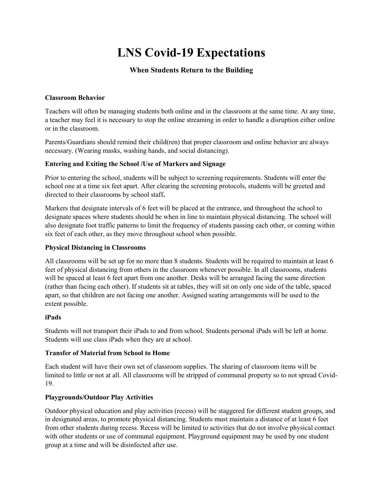# **LNS Covid-19 Expectations**

## **When Students Return to the Building**

## **Classroom Behavior**

Teachers will often be managing students both online and in the classroom at the same time. At any time, a teacher may feel it is necessary to stop the online streaming in order to handle a disruption either online or in the classroom.

Parents/Guardians should remind their child(ren) that proper classroom and online behavior are always necessary. (Wearing masks, washing hands, and social distancing).

## **Entering and Exiting the School /Use of Markers and Signage**

Prior to entering the school, students will be subject to screening requirements. Students will enter the school one at a time six feet apart. After clearing the screening protocols, students will be greeted and directed to their classrooms by school staff**.**

Markers that designate intervals of 6 feet will be placed at the entrance, and throughout the school to designate spaces where students should be when in line to maintain physical distancing. The school will also designate foot traffic patterns to limit the frequency of students passing each other, or coming within six feet of each other, as they move throughout school when possible.

## **Physical Distancing in Classrooms**

All classrooms will be set up for no more than 8 students. Students will be required to maintain at least 6 feet of physical distancing from others in the classroom whenever possible. In all classrooms, students will be spaced at least 6 feet apart from one another. Desks will be arranged facing the same direction (rather than facing each other). If students sit at tables, they will sit on only one side of the table, spaced apart, so that children are not facing one another. Assigned seating arrangements will be used to the extent possible.

## **iPads**

Students will not transport their iPads to and from school. Students personal iPads will be left at home. Students will use class iPads when they are at school.

## **Transfer of Material from School to Home**

Each student will have their own set of classroom supplies. The sharing of classroom items will be limited to little or not at all. All classrooms will be stripped of communal property so to not spread Covid-19.

## **Playgrounds/Outdoor Play Activities**

Outdoor physical education and play activities (recess) will be staggered for different student groups, and in designated areas, to promote physical distancing. Students must maintain a distance of at least 6 feet from other students during recess. Recess will be limited to activities that do not involve physical contact with other students or use of communal equipment. Playground equipment may be used by one student group at a time and will be disinfected after use.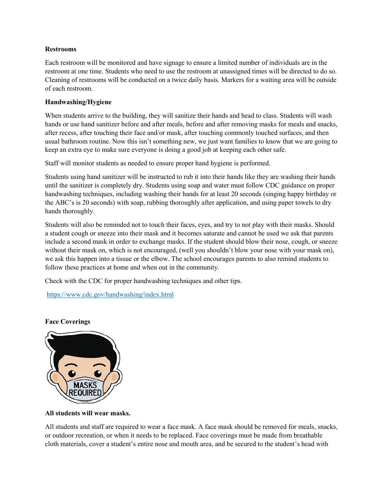## **Restrooms**

Each restroom will be monitored and have signage to ensure a limited number of individuals are in the restroom at one time. Students who need to use the restroom at unassigned times will be directed to do so. Cleaning of restrooms will be conducted on a twice daily basis. Markers for a waiting area will be outside of each restroom.

## **Handwashing/Hygiene**

When students arrive to the building, they will sanitize their hands and head to class. Students will wash hands or use hand sanitizer before and after meals, before and after removing masks for meals and snacks, after recess, after touching their face and/or mask, after touching commonly touched surfaces, and then usual bathroom routine. Now this isn't something new, we just want families to know that we are going to keep an extra eye to make sure everyone is doing a good job at keeping each other safe.

Staff will monitor students as needed to ensure proper hand hygiene is performed.

Students using hand sanitizer will be instructed to rub it into their hands like they are washing their hands until the sanitizer is completely dry. Students using soap and water must follow CDC guidance on proper handwashing techniques, including washing their hands for at least 20 seconds (singing happy birthday or the ABC's is 20 seconds) with soap, rubbing thoroughly after application, and using paper towels to dry hands thoroughly.

Students will also be reminded not to touch their faces, eyes, and try to not play with their masks. Should a student cough or sneeze into their mask and it becomes saturate and cannot be used we ask that parents include a second mask in order to exchange masks. If the student should blow their nose, cough, or sneeze without their mask on, which is not encouraged, (well you shouldn't blow your nose with your mask on), we ask this happen into a tissue or the elbow. The school encourages parents to also remind students to follow these practices at home and when out in the community.

Check with the CDC for proper handwashing techniques and other tips.

<https://www.cdc.gov/handwashing/index.html>

## **Face Coverings**



## **All students will wear masks.**

All students and staff are required to wear a face mask. A face mask should be removed for meals, snacks, or outdoor recreation, or when it needs to be replaced. Face coverings must be made from breathable cloth materials, cover a student's entire nose and mouth area, and be secured to the student's head with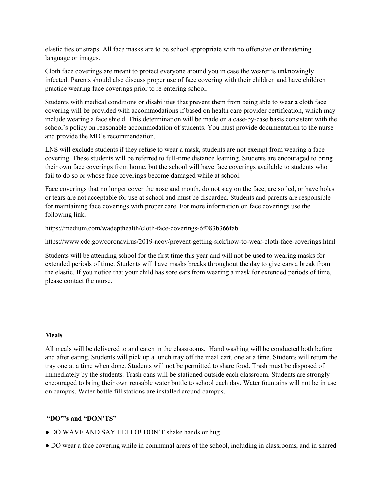elastic ties or straps. All face masks are to be school appropriate with no offensive or threatening language or images.

Cloth face coverings are meant to protect everyone around you in case the wearer is unknowingly infected. Parents should also discuss proper use of face covering with their children and have children practice wearing face coverings prior to re-entering school.

Students with medical conditions or disabilities that prevent them from being able to wear a cloth face covering will be provided with accommodations if based on health care provider certification, which may include wearing a face shield. This determination will be made on a case-by-case basis consistent with the school's policy on reasonable accommodation of students. You must provide documentation to the nurse and provide the MD's recommendation.

LNS will exclude students if they refuse to wear a mask, students are not exempt from wearing a face covering. These students will be referred to full-time distance learning. Students are encouraged to bring their own face coverings from home, but the school will have face coverings available to students who fail to do so or whose face coverings become damaged while at school.

Face coverings that no longer cover the nose and mouth, do not stay on the face, are soiled, or have holes or tears are not acceptable for use at school and must be discarded. Students and parents are responsible for maintaining face coverings with proper care. For more information on face coverings use the following link.

https://medium.com/wadepthealth/cloth-face-coverings-6f083b366fab

https://www.cdc.gov/coronavirus/2019-ncov/prevent-getting-sick/how-to-wear-cloth-face-coverings.html

Students will be attending school for the first time this year and will not be used to wearing masks for extended periods of time. Students will have masks breaks throughout the day to give ears a break from the elastic. If you notice that your child has sore ears from wearing a mask for extended periods of time, please contact the nurse.

## **Meals**

All meals will be delivered to and eaten in the classrooms. Hand washing will be conducted both before and after eating. Students will pick up a lunch tray off the meal cart, one at a time. Students will return the tray one at a time when done. Students will not be permitted to share food. Trash must be disposed of immediately by the students. Trash cans will be stationed outside each classroom. Students are strongly encouraged to bring their own reusable water bottle to school each day. Water fountains will not be in use on campus. Water bottle fill stations are installed around campus.

## **"DO"'s and "DON'TS"**

- DO WAVE AND SAY HELLO! DON'T shake hands or hug.
- DO wear a face covering while in communal areas of the school, including in classrooms, and in shared